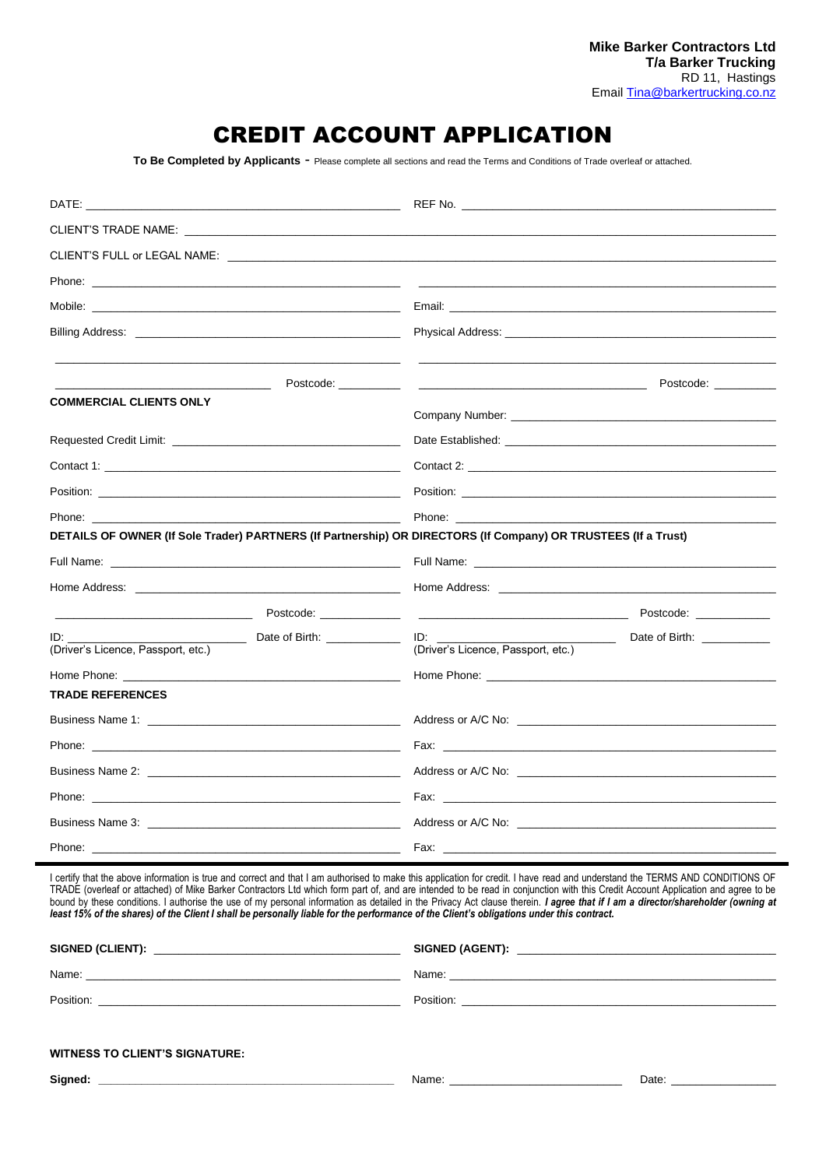# CREDIT ACCOUNT APPLICATION

**To Be Completed by Applicants** - Please complete all sections and read the Terms and Conditions of Trade overleaf or attached.

|                                                                                                                                                                                                                                | Physical Address: Universe and Address and Address and Address and Address and Address and Address and Address                                                                                                                 |
|--------------------------------------------------------------------------------------------------------------------------------------------------------------------------------------------------------------------------------|--------------------------------------------------------------------------------------------------------------------------------------------------------------------------------------------------------------------------------|
|                                                                                                                                                                                                                                | Postcode: <u>___________</u>                                                                                                                                                                                                   |
| <b>COMMERCIAL CLIENTS ONLY</b>                                                                                                                                                                                                 |                                                                                                                                                                                                                                |
|                                                                                                                                                                                                                                |                                                                                                                                                                                                                                |
|                                                                                                                                                                                                                                |                                                                                                                                                                                                                                |
|                                                                                                                                                                                                                                | Position: The contract of the contract of the contract of the contract of the contract of the contract of the contract of the contract of the contract of the contract of the contract of the contract of the contract of the  |
| Phone: The contract of the contract of the contract of the contract of the contract of the contract of the contract of the contract of the contract of the contract of the contract of the contract of the contract of the con | Phone: the contract of the contract of the contract of the contract of the contract of the contract of the contract of the contract of the contract of the contract of the contract of the contract of the contract of the con |
|                                                                                                                                                                                                                                | DETAILS OF OWNER (If Sole Trader) PARTNERS (If Partnership) OR DIRECTORS (If Company) OR TRUSTEES (If a Trust)                                                                                                                 |
|                                                                                                                                                                                                                                |                                                                                                                                                                                                                                |
|                                                                                                                                                                                                                                |                                                                                                                                                                                                                                |
|                                                                                                                                                                                                                                | Postcode: ____________                                                                                                                                                                                                         |
| ID:<br>(Driver's Licence, Passport, etc.)                                                                                                                                                                                      | Date of Birth: ___________<br>$ID:$ $I = \{I, I\}$<br>(Driver's Licence, Passport, etc.)                                                                                                                                       |
|                                                                                                                                                                                                                                |                                                                                                                                                                                                                                |
| <b>TRADE REFERENCES</b>                                                                                                                                                                                                        |                                                                                                                                                                                                                                |
|                                                                                                                                                                                                                                |                                                                                                                                                                                                                                |
|                                                                                                                                                                                                                                | Fax: The contract of the contract of the contract of the contract of the contract of the contract of the contract of the contract of the contract of the contract of the contract of the contract of the contract of the contr |
|                                                                                                                                                                                                                                |                                                                                                                                                                                                                                |
|                                                                                                                                                                                                                                |                                                                                                                                                                                                                                |
|                                                                                                                                                                                                                                |                                                                                                                                                                                                                                |
| Phone: $\overline{\phantom{a}}$                                                                                                                                                                                                | Fax: $\_\_$                                                                                                                                                                                                                    |

I certify that the above information is true and correct and that I am authorised to make this application for credit. I have read and understand the TERMS AND CONDITIONS OF TRADE (overleaf or attached) of Mike Barker Contractors Ltd which form part of, and are intended to be read in conjunction with this Credit Account Application and agree to be bound by these conditions. I authorise the use of my personal information as detailed in the Privacy Act clause therein. I agree that if I am a director/shareholder (owning at *least 15% of the shares) of the Client I shall be personally liable for the performance of the Client's obligations under this contract.*

| Name:     |           |
|-----------|-----------|
| Position: | Position: |
|           |           |
|           |           |

| <b>WITNESS TO CLIENT'S SIGNATURE:</b> |  |
|---------------------------------------|--|
|---------------------------------------|--|

**Signed: \_\_\_\_\_\_\_\_\_\_\_\_\_\_\_\_\_\_\_\_\_\_\_\_\_\_\_\_\_\_\_\_\_\_\_\_\_\_\_\_\_\_\_\_\_\_\_\_** Name: \_\_\_\_\_\_\_\_\_\_\_\_\_\_\_\_\_\_\_\_\_\_\_\_\_\_\_\_ Date: \_\_\_\_\_\_\_\_\_\_\_\_\_\_\_\_\_